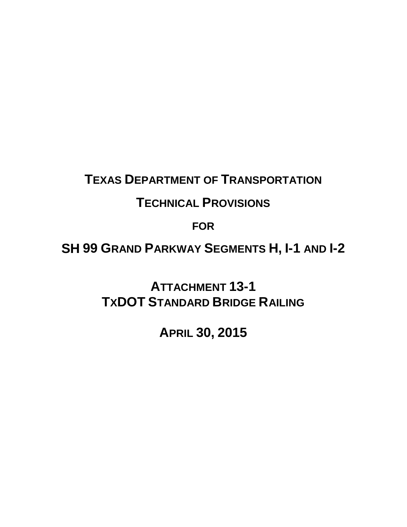## **TEXAS DEPARTMENT OF TRANSPORTATION**

## **TECHNICAL PROVISIONS**

**FOR**

**SH 99 GRAND PARKWAY SEGMENTS H, I-1 AND I-2** 

**ATTACHMENT 13-1 TXDOT STANDARD BRIDGE RAILING**

**APRIL 30, 2015**